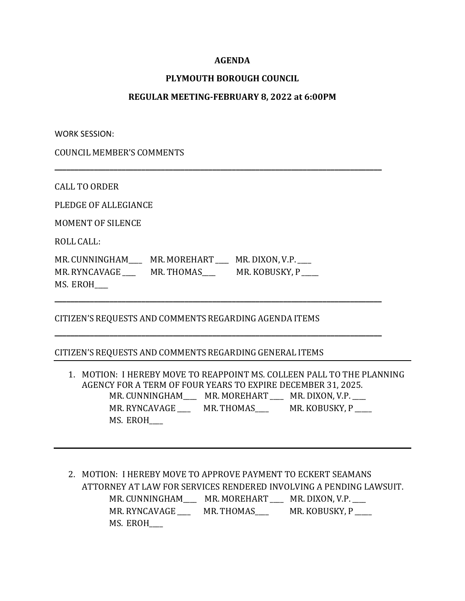## **AGENDA**

## **PLYMOUTH BOROUGH COUNCIL**

## **REGULAR MEETING-FEBRUARY 8, 2022 at 6:00PM**

**\_\_\_\_\_\_\_\_\_\_\_\_\_\_\_\_\_\_\_\_\_\_\_\_\_\_\_\_\_\_\_\_\_\_\_\_\_\_\_\_\_\_\_\_\_\_\_\_\_\_\_\_\_\_\_\_\_\_\_\_\_\_\_\_\_\_\_\_\_\_\_\_\_\_\_\_\_\_\_\_\_\_\_**

**\_\_\_\_\_\_\_\_\_\_\_\_\_\_\_\_\_\_\_\_\_\_\_\_\_\_\_\_\_\_\_\_\_\_\_\_\_\_\_\_\_\_\_\_\_\_\_\_\_\_\_\_\_\_\_\_\_\_\_\_\_\_\_\_\_\_\_\_\_\_\_\_\_\_\_\_\_\_\_\_\_\_\_**

**\_\_\_\_\_\_\_\_\_\_\_\_\_\_\_\_\_\_\_\_\_\_\_\_\_\_\_\_\_\_\_\_\_\_\_\_\_\_\_\_\_\_\_\_\_\_\_\_\_\_\_\_\_\_\_\_\_\_\_\_\_\_\_\_\_\_\_\_\_\_\_\_\_\_\_\_\_\_\_\_\_\_\_**

WORK SESSION:

COUNCIL MEMBER'S COMMENTS

CALL TO ORDER

PLEDGE OF ALLEGIANCE

MOMENT OF SILENCE

ROLL CALL:

MR. CUNNINGHAM\_\_\_\_\_ MR. MOREHART \_\_\_ MR. DIXON, V.P. \_\_\_ MR. RYNCAVAGE \_\_\_\_\_ MR. THOMAS \_\_\_\_\_ MR. KOBUSKY, P MS. EROH\_\_\_\_

CITIZEN'S REQUESTS AND COMMENTS REGARDING AGENDA ITEMS

CITIZEN'S REQUESTS AND COMMENTS REGARDING GENERAL ITEMS

1. MOTION: I HEREBY MOVE TO REAPPOINT MS. COLLEEN PALL TO THE PLANNING AGENCY FOR A TERM OF FOUR YEARS TO EXPIRE DECEMBER 31, 2025. MR. CUNNINGHAM\_\_\_\_\_ MR. MOREHART \_\_\_\_ MR. DIXON, V.P. \_\_\_ MR. RYNCAVAGE MR. THOMAS MR. KOBUSKY, P MS. EROH\_\_\_\_

2. MOTION: I HEREBY MOVE TO APPROVE PAYMENT TO ECKERT SEAMANS ATTORNEY AT LAW FOR SERVICES RENDERED INVOLVING A PENDING LAWSUIT. MR. CUNNINGHAM\_\_\_\_ MR. MOREHART \_\_\_\_ MR. DIXON, V.P.\_\_\_\_ MR. RYNCAVAGE \_\_\_\_\_ MR. THOMAS\_\_\_\_ MR. KOBUSKY, P \_\_\_\_ MS. EROH\_\_\_\_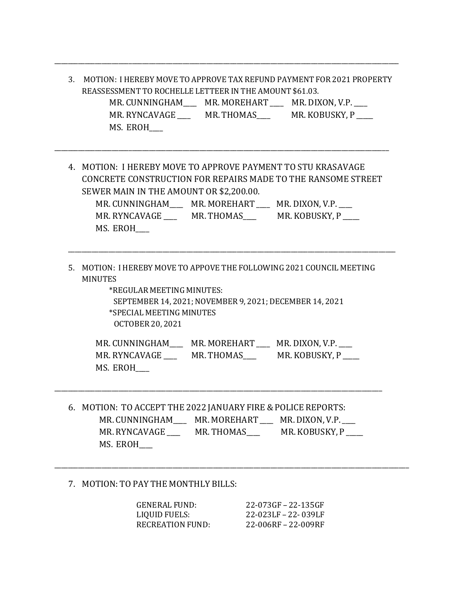3. MOTION: I HEREBY MOVE TO APPROVE TAX REFUND PAYMENT FOR 2021 PROPERTY REASSESSMENT TO ROCHELLE LETTEER IN THE AMOUNT \$61.03. MR. CUNNINGHAM\_\_\_\_\_ MR. MOREHART \_\_\_\_ MR. DIXON, V.P. \_\_\_ MR. RYNCAVAGE \_\_\_\_ MR. THOMAS\_\_\_ MR. KOBUSKY, P \_\_\_\_ MS. EROH\_\_\_\_

\_\_\_\_\_\_\_\_\_\_\_\_\_\_\_\_\_\_\_\_\_\_\_\_\_\_\_\_\_\_\_\_\_\_\_\_\_\_\_\_\_\_\_\_\_\_\_\_\_\_\_\_\_\_\_\_\_\_\_\_\_\_\_\_\_\_\_\_\_\_\_\_\_\_\_\_\_\_\_\_\_\_\_\_\_\_\_\_\_\_\_\_\_\_\_\_\_\_\_\_\_\_

4. MOTION: I HEREBY MOVE TO APPROVE PAYMENT TO STU KRASAVAGE CONCRETE CONSTRUCTION FOR REPAIRS MADE TO THE RANSOME STREET SEWER MAIN IN THE AMOUNT OR \$2,200.00. MR. CUNNINGHAM\_\_\_\_\_ MR. MOREHART \_\_\_\_ MR. DIXON, V.P. \_\_\_

\_\_\_\_\_\_\_\_\_\_\_\_\_\_\_\_\_\_\_\_\_\_\_\_\_\_\_\_\_\_\_\_\_\_\_\_\_\_\_\_\_\_\_\_\_\_\_\_\_\_\_\_\_\_\_\_\_\_\_\_\_\_\_\_\_\_\_\_\_\_\_\_\_\_\_\_\_\_\_\_\_\_\_\_\_\_\_\_\_\_\_\_\_\_\_\_\_\_\_

MR. RYNCAVAGE \_\_\_\_ MR. THOMAS\_\_\_\_ MR. KOBUSKY, P \_\_\_\_ MS. EROH\_\_\_\_

\_\_\_\_\_\_\_\_\_\_\_\_\_\_\_\_\_\_\_\_\_\_\_\_\_\_\_\_\_\_\_\_\_\_\_\_\_\_\_\_\_\_\_\_\_\_\_\_\_\_\_\_\_\_\_\_\_\_\_\_\_\_\_\_\_\_\_\_\_\_\_\_\_\_\_\_\_\_\_\_\_\_\_\_\_\_\_\_\_\_\_\_\_\_\_\_\_

5. MOTION: I HEREBY MOVE TO APPOVE THE FOLLOWING 2021 COUNCIL MEETING MINUTES

> \*REGULAR MEETING MINUTES: SEPTEMBER 14, 2021;NOVEMBER 9, 2021; DECEMBER 14, 2021 \*SPECIAL MEETING MINUTES OCTOBER 20, 2021

MR. CUNNINGHAM\_\_\_\_ MR. MOREHART \_\_\_ MR. DIXON, V.P. MR. RYNCAVAGE \_\_\_\_ MR. THOMAS\_\_\_\_ MR. KOBUSKY, P \_\_\_\_ MS. EROH\_\_\_\_

6. MOTION: TO ACCEPT THE 2022 JANUARY FIRE &POLICE REPORTS: MR. CUNNINGHAM\_\_\_\_\_ MR. MOREHART \_\_\_ MR. DIXON, V.P. \_\_\_ MR. RYNCAVAGE \_\_\_\_\_ MR. THOMAS \_\_\_\_\_ MR. KOBUSKY, P MS. EROH\_\_\_\_

\_\_\_\_\_\_\_\_\_\_\_\_\_\_\_\_\_\_\_\_\_\_\_\_\_\_\_\_\_\_\_\_\_\_\_\_\_\_\_\_\_\_\_\_\_\_\_\_\_\_\_\_\_\_\_\_\_\_\_\_\_\_\_\_\_\_\_\_\_\_\_\_\_\_\_\_\_\_\_\_\_\_\_\_\_\_\_\_\_\_\_\_\_\_\_\_\_

## 7. MOTION: TO PAY THE MONTHLY BILLS:

| <b>GENERAL FUND:</b> | 22-073GF - 22-135GF |
|----------------------|---------------------|
| LIQUID FUELS:        | 22-023LF - 22-039LF |
| RECREATION FUND:     | 22-006RF - 22-009RF |

\_\_\_\_\_\_\_\_\_\_\_\_\_\_\_\_\_\_\_\_\_\_\_\_\_\_\_\_\_\_\_\_\_\_\_\_\_\_\_\_\_\_\_\_\_\_\_\_\_\_\_\_\_\_\_\_\_\_\_\_\_\_\_\_\_\_\_\_\_\_\_\_\_\_\_\_\_\_\_\_\_\_\_\_\_\_\_\_\_\_\_\_\_\_\_\_\_\_\_\_\_\_\_\_\_